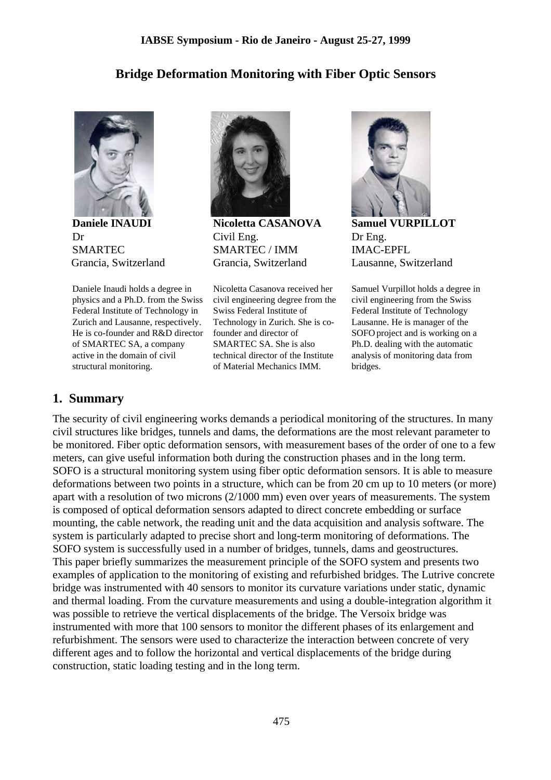## **Bridge Deformation Monitoring with Fiber Optic Sensors**



**Daniele INAUDI** Dr SMARTEC Grancia, Switzerland

Daniele Inaudi holds a degree in physics and a Ph.D. from the Swiss Federal Institute of Technology in Zurich and Lausanne, respectively. He is co-founder and R&D director of SMARTEC SA, a company active in the domain of civil structural monitoring.



**Nicoletta CASANOVA** Civil Eng. SMARTEC / IMM Grancia, Switzerland

Nicoletta Casanova received her civil engineering degree from the Swiss Federal Institute of Technology in Zurich. She is cofounder and director of SMARTEC SA. She is also technical director of the Institute of Material Mechanics IMM.



**Samuel VURPILLOT** Dr Eng. IMAC-EPFL Lausanne, Switzerland

Samuel Vurpillot holds a degree in civil engineering from the Swiss Federal Institute of Technology Lausanne. He is manager of the SOFO project and is working on a Ph.D. dealing with the automatic analysis of monitoring data from bridges.

## **1. Summary**

The security of civil engineering works demands a periodical monitoring of the structures. In many civil structures like bridges, tunnels and dams, the deformations are the most relevant parameter to be monitored. Fiber optic deformation sensors, with measurement bases of the order of one to a few meters, can give useful information both during the construction phases and in the long term. SOFO is a structural monitoring system using fiber optic deformation sensors. It is able to measure deformations between two points in a structure, which can be from 20 cm up to 10 meters (or more) apart with a resolution of two microns (2/1000 mm) even over years of measurements. The system is composed of optical deformation sensors adapted to direct concrete embedding or surface mounting, the cable network, the reading unit and the data acquisition and analysis software. The system is particularly adapted to precise short and long-term monitoring of deformations. The SOFO system is successfully used in a number of bridges, tunnels, dams and geostructures. This paper briefly summarizes the measurement principle of the SOFO system and presents two examples of application to the monitoring of existing and refurbished bridges. The Lutrive concrete bridge was instrumented with 40 sensors to monitor its curvature variations under static, dynamic and thermal loading. From the curvature measurements and using a double-integration algorithm it was possible to retrieve the vertical displacements of the bridge. The Versoix bridge was instrumented with more that 100 sensors to monitor the different phases of its enlargement and refurbishment. The sensors were used to characterize the interaction between concrete of very different ages and to follow the horizontal and vertical displacements of the bridge during construction, static loading testing and in the long term.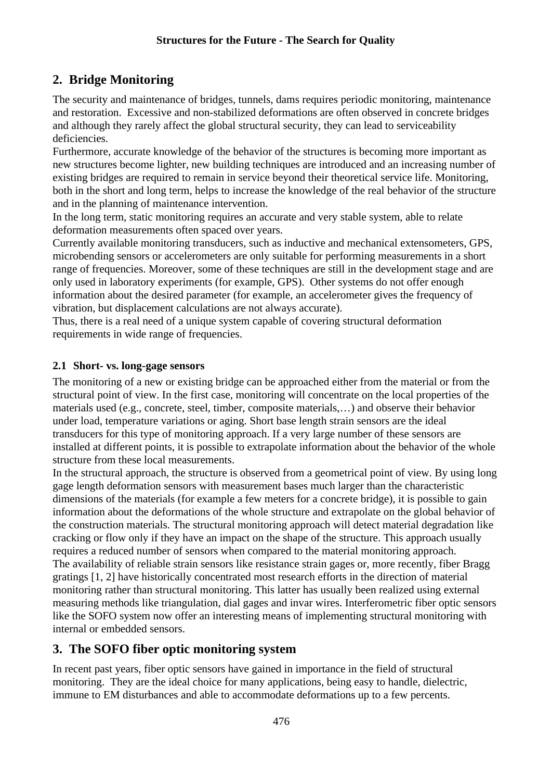# **2. Bridge Monitoring**

The security and maintenance of bridges, tunnels, dams requires periodic monitoring, maintenance and restoration. Excessive and non-stabilized deformations are often observed in concrete bridges and although they rarely affect the global structural security, they can lead to serviceability deficiencies.

Furthermore, accurate knowledge of the behavior of the structures is becoming more important as new structures become lighter, new building techniques are introduced and an increasing number of existing bridges are required to remain in service beyond their theoretical service life. Monitoring, both in the short and long term, helps to increase the knowledge of the real behavior of the structure and in the planning of maintenance intervention.

In the long term, static monitoring requires an accurate and very stable system, able to relate deformation measurements often spaced over years.

Currently available monitoring transducers, such as inductive and mechanical extensometers, GPS, microbending sensors or accelerometers are only suitable for performing measurements in a short range of frequencies. Moreover, some of these techniques are still in the development stage and are only used in laboratory experiments (for example, GPS). Other systems do not offer enough information about the desired parameter (for example, an accelerometer gives the frequency of vibration, but displacement calculations are not always accurate).

Thus, there is a real need of a unique system capable of covering structural deformation requirements in wide range of frequencies.

## **2.1 Short- vs. long-gage sensors**

The monitoring of a new or existing bridge can be approached either from the material or from the structural point of view. In the first case, monitoring will concentrate on the local properties of the materials used (e.g., concrete, steel, timber, composite materials,…) and observe their behavior under load, temperature variations or aging. Short base length strain sensors are the ideal transducers for this type of monitoring approach. If a very large number of these sensors are installed at different points, it is possible to extrapolate information about the behavior of the whole structure from these local measurements.

In the structural approach, the structure is observed from a geometrical point of view. By using long gage length deformation sensors with measurement bases much larger than the characteristic dimensions of the materials (for example a few meters for a concrete bridge), it is possible to gain information about the deformations of the whole structure and extrapolate on the global behavior of the construction materials. The structural monitoring approach will detect material degradation like cracking or flow only if they have an impact on the shape of the structure. This approach usually requires a reduced number of sensors when compared to the material monitoring approach. The availability of reliable strain sensors like resistance strain gages or, more recently, fiber Bragg gratings [1, 2] have historically concentrated most research efforts in the direction of material monitoring rather than structural monitoring. This latter has usually been realized using external measuring methods like triangulation, dial gages and invar wires. Interferometric fiber optic sensors like the SOFO system now offer an interesting means of implementing structural monitoring with internal or embedded sensors.

## **3. The SOFO fiber optic monitoring system**

In recent past years, fiber optic sensors have gained in importance in the field of structural monitoring. They are the ideal choice for many applications, being easy to handle, dielectric, immune to EM disturbances and able to accommodate deformations up to a few percents.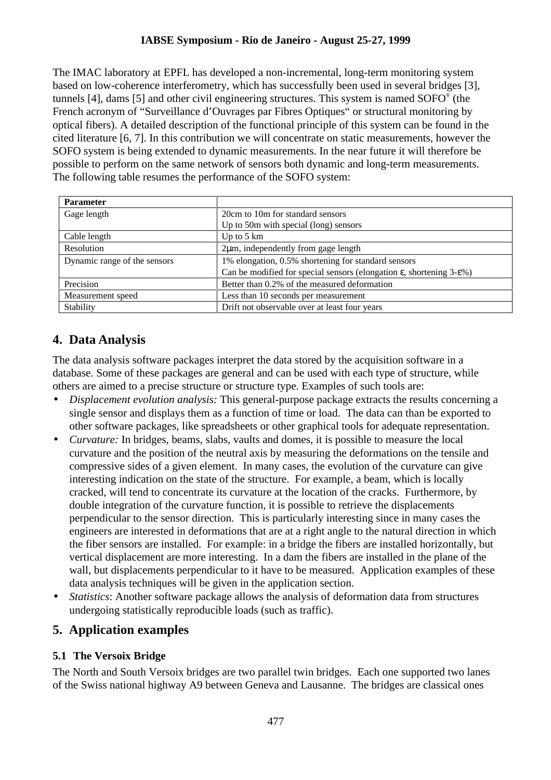## **IABSE Symposium - Rio de Janeiro - August 25-27, 1999**

The IMAC laboratory at EPFL has developed a non-incremental, long-term monitoring system based on low-coherence interferometry, which has successfully been used in several bridges [3], tunnels [4], dams [5] and other civil engineering structures. This system is named  $SOPO^{\circ}$  (the French acronym of "Surveillance d'Ouvrages par Fibres Optiques" or structural monitoring by optical fibers). A detailed description of the functional principle of this system can be found in the cited literature [6, 7]. In this contribution we will concentrate on static measurements, however the SOFO system is being extended to dynamic measurements. In the near future it will therefore be possible to perform on the same network of sensors both dynamic and long-term measurements. The following table resumes the performance of the SOFO system:

| <b>Parameter</b>             |                                                                                                |
|------------------------------|------------------------------------------------------------------------------------------------|
| Gage length                  | 20cm to 10m for standard sensors                                                               |
|                              | Up to 50m with special (long) sensors                                                          |
| Cable length                 | Up to $5 \text{ km}$                                                                           |
| Resolution                   | $2\mu$ m, independently from gage length                                                       |
| Dynamic range of the sensors | 1% elongation, 0.5% shortening for standard sensors                                            |
|                              | Can be modified for special sensors (elongation $\varepsilon$ , shortening 3- $\varepsilon$ %) |
| Precision                    | Better than 0.2% of the measured deformation                                                   |
| Measurement speed            | Less than 10 seconds per measurement                                                           |
| Stability                    | Drift not observable over at least four years                                                  |

# **4. Data Analysis**

The data analysis software packages interpret the data stored by the acquisition software in a database. Some of these packages are general and can be used with each type of structure, while others are aimed to a precise structure or structure type. Examples of such tools are:

- *Displacement evolution analysis:* This general-purpose package extracts the results concerning a single sensor and displays them as a function of time or load. The data can than be exported to other software packages, like spreadsheets or other graphical tools for adequate representation.
- *Curvature:* In bridges, beams, slabs, vaults and domes, it is possible to measure the local curvature and the position of the neutral axis by measuring the deformations on the tensile and compressive sides of a given element. In many cases, the evolution of the curvature can give interesting indication on the state of the structure. For example, a beam, which is locally cracked, will tend to concentrate its curvature at the location of the cracks. Furthermore, by double integration of the curvature function, it is possible to retrieve the displacements perpendicular to the sensor direction. This is particularly interesting since in many cases the engineers are interested in deformations that are at a right angle to the natural direction in which the fiber sensors are installed. For example: in a bridge the fibers are installed horizontally, but vertical displacement are more interesting. In a dam the fibers are installed in the plane of the wall, but displacements perpendicular to it have to be measured. Application examples of these data analysis techniques will be given in the application section.
- *Statistics*: Another software package allows the analysis of deformation data from structures undergoing statistically reproducible loads (such as traffic).

## **5. Application examples**

## **5.1 The Versoix Bridge**

The North and South Versoix bridges are two parallel twin bridges. Each one supported two lanes of the Swiss national highway A9 between Geneva and Lausanne. The bridges are classical ones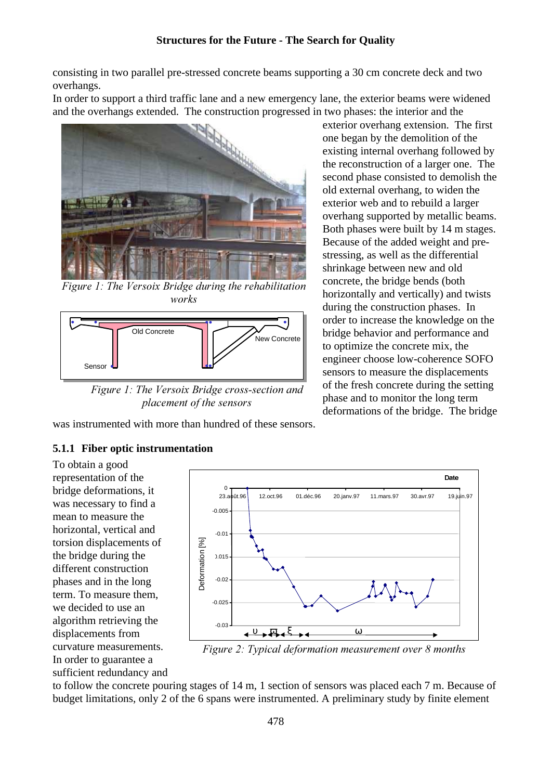consisting in two parallel pre-stressed concrete beams supporting a 30 cm concrete deck and two overhangs.

In order to support a third traffic lane and a new emergency lane, the exterior beams were widened and the overhangs extended. The construction progressed in two phases: the interior and the



Figure 1: The Versoix Bridge during the rehabilitation works



Figure 1: The Versoix Bridge cross-section and placement of the sensors

was instrumented with more than hundred of these sensors.

#### **5.1.1 Fiber optic instrumentation**

To obtain a good representation of the bridge deformations, it was necessary to find a mean to measure the horizontal, vertical and torsion displacements of the bridge during the different construction phases and in the long term. To measure them, we decided to use an algorithm retrieving the displacements from curvature measurements. In order to guarantee a sufficient redundancy and



Figure 2: Typical deformation measurement over 8 months

to follow the concrete pouring stages of 14 m, 1 section of sensors was placed each 7 m. Because of budget limitations, only 2 of the 6 spans were instrumented. A preliminary study by finite element

exterior overhang extension. The first one began by the demolition of the existing internal overhang followed by the reconstruction of a larger one. The second phase consisted to demolish the old external overhang, to widen the exterior web and to rebuild a larger overhang supported by metallic beams. Both phases were built by 14 m stages. Because of the added weight and prestressing, as well as the differential shrinkage between new and old concrete, the bridge bends (both horizontally and vertically) and twists during the construction phases. In order to increase the knowledge on the bridge behavior and performance and to optimize the concrete mix, the engineer choose low-coherence SOFO sensors to measure the displacements of the fresh concrete during the setting phase and to monitor the long term deformations of the bridge. The bridge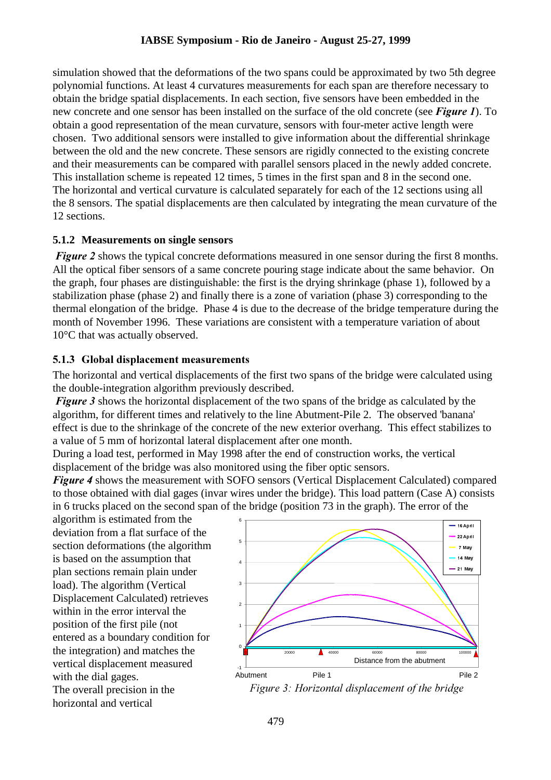#### **IABSE Symposium - Rio de Janeiro - August 25-27, 1999**

simulation showed that the deformations of the two spans could be approximated by two 5th degree polynomial functions. At least 4 curvatures measurements for each span are therefore necessary to obtain the bridge spatial displacements. In each section, five sensors have been embedded in the new concrete and one sensor has been installed on the surface of the old concrete (see **Figure 1**). To obtain a good representation of the mean curvature, sensors with four-meter active length were chosen. Two additional sensors were installed to give information about the differential shrinkage between the old and the new concrete. These sensors are rigidly connected to the existing concrete and their measurements can be compared with parallel sensors placed in the newly added concrete. This installation scheme is repeated 12 times, 5 times in the first span and 8 in the second one. The horizontal and vertical curvature is calculated separately for each of the 12 sections using all the 8 sensors. The spatial displacements are then calculated by integrating the mean curvature of the 12 sections.

#### **5.1.2 Measurements on single sensors**

Figure 2 shows the typical concrete deformations measured in one sensor during the first 8 months. All the optical fiber sensors of a same concrete pouring stage indicate about the same behavior. On the graph, four phases are distinguishable: the first is the drying shrinkage (phase 1), followed by a stabilization phase (phase 2) and finally there is a zone of variation (phase 3) corresponding to the thermal elongation of the bridge. Phase 4 is due to the decrease of the bridge temperature during the month of November 1996. These variations are consistent with a temperature variation of about 10°C that was actually observed.

#### 5.1.3 Global displacement measurements

The horizontal and vertical displacements of the first two spans of the bridge were calculated using the double-integration algorithm previously described.

**Figure 3** shows the horizontal displacement of the two spans of the bridge as calculated by the algorithm, for different times and relatively to the line Abutment-Pile 2. The observed 'banana' effect is due to the shrinkage of the concrete of the new exterior overhang. This effect stabilizes to a value of 5 mm of horizontal lateral displacement after one month.

During a load test, performed in May 1998 after the end of construction works, the vertical displacement of the bridge was also monitored using the fiber optic sensors.

Figure 4 shows the measurement with SOFO sensors (Vertical Displacement Calculated) compared to those obtained with dial gages (invar wires under the bridge). This load pattern (Case A) consists in 6 trucks placed on the second span of the bridge (position 73 in the graph). The error of the

algorithm is estimated from the deviation from a flat surface of the section deformations (the algorithm is based on the assumption that plan sections remain plain under load). The algorithm (Vertical Displacement Calculated) retrieves within in the error interval the position of the first pile (not entered as a boundary condition for the integration) and matches the vertical displacement measured with the dial gages.

The overall precision in the horizontal and vertical



Figure 3: Horizontal displacement of the bridge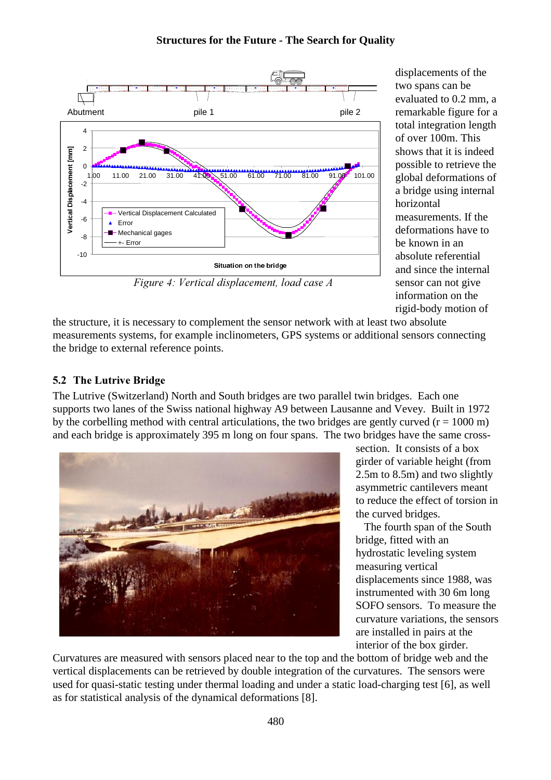

displacements of the two spans can be evaluated to 0.2 mm, a remarkable figure for a total integration length of over 100m. This shows that it is indeed possible to retrieve the global deformations of a bridge using internal horizontal measurements. If the deformations have to be known in an absolute referential and since the internal sensor can not give information on the rigid-body motion of

Figure 4: Vertical displacement, load case A

the structure, it is necessary to complement the sensor network with at least two absolute measurements systems, for example inclinometers, GPS systems or additional sensors connecting the bridge to external reference points.

## 5.2 The Lutrive Bridge

The Lutrive (Switzerland) North and South bridges are two parallel twin bridges. Each one supports two lanes of the Swiss national highway A9 between Lausanne and Vevey. Built in 1972 by the corbelling method with central articulations, the two bridges are gently curved  $(r = 1000 \text{ m})$ and each bridge is approximately 395 m long on four spans. The two bridges have the same cross-



section. It consists of a box girder of variable height (from 2.5m to 8.5m) and two slightly asymmetric cantilevers meant to reduce the effect of torsion in the curved bridges.

 The fourth span of the South bridge, fitted with an hydrostatic leveling system measuring vertical displacements since 1988, was instrumented with 30 6m long SOFO sensors. To measure the curvature variations, the sensors are installed in pairs at the interior of the box girder.

Curvatures are measured with sensors placed near to the top and the bottom of bridge web and the vertical displacements can be retrieved by double integration of the curvatures. The sensors were used for quasi-static testing under thermal loading and under a static load-charging test [6], as well as for statistical analysis of the dynamical deformations [8].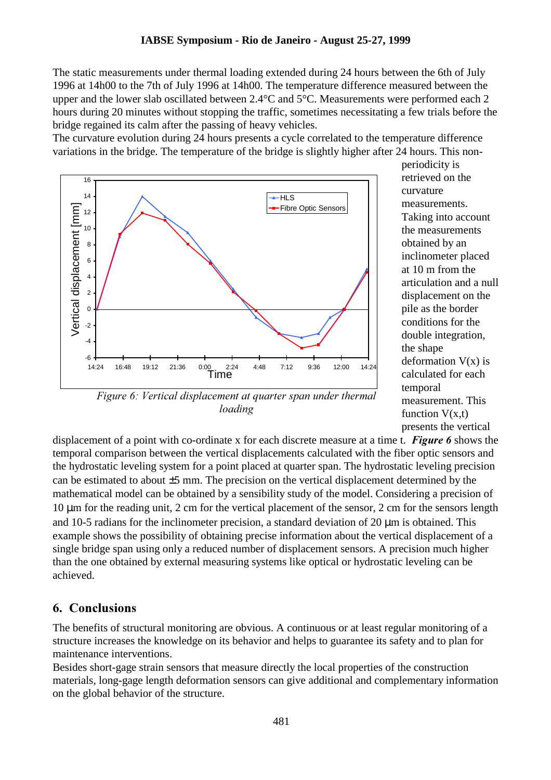The static measurements under thermal loading extended during 24 hours between the 6th of July 1996 at 14h00 to the 7th of July 1996 at 14h00. The temperature difference measured between the upper and the lower slab oscillated between  $2.4^{\circ}$ C and  $5^{\circ}$ C. Measurements were performed each 2 hours during 20 minutes without stopping the traffic, sometimes necessitating a few trials before the bridge regained its calm after the passing of heavy vehicles.

The curvature evolution during 24 hours presents a cycle correlated to the temperature difference variations in the bridge. The temperature of the bridge is slightly higher after 24 hours. This non-



periodicity is retrieved on the curvature measurements. Taking into account the measurements obtained by an inclinometer placed at 10 m from the articulation and a null displacement on the pile as the border conditions for the double integration, the shape deformation  $V(x)$  is calculated for each temporal measurement. This function  $V(x,t)$ presents the vertical

Figure 6: Vertical displacement at quarter span under thermal loading

displacement of a point with co-ordinate x for each discrete measure at a time t. **Figure 6** shows the temporal comparison between the vertical displacements calculated with the fiber optic sensors and the hydrostatic leveling system for a point placed at quarter span. The hydrostatic leveling precision can be estimated to about  $\pm 5$  mm. The precision on the vertical displacement determined by the mathematical model can be obtained by a sensibility study of the model. Considering a precision of 10 µm for the reading unit, 2 cm for the vertical placement of the sensor, 2 cm for the sensors length and 10-5 radians for the inclinometer precision, a standard deviation of 20  $\mu$ m is obtained. This example shows the possibility of obtaining precise information about the vertical displacement of a single bridge span using only a reduced number of displacement sensors. A precision much higher than the one obtained by external measuring systems like optical or hydrostatic leveling can be achieved.

## 6. Conclusions

The benefits of structural monitoring are obvious. A continuous or at least regular monitoring of a structure increases the knowledge on its behavior and helps to guarantee its safety and to plan for maintenance interventions.

Besides short-gage strain sensors that measure directly the local properties of the construction materials, long-gage length deformation sensors can give additional and complementary information on the global behavior of the structure.